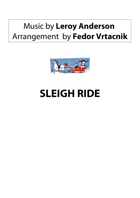## Music by **Leroy Anderson**  Arrangement by **Fedor Vrtacnik**



## **SLEIGH RIDE**